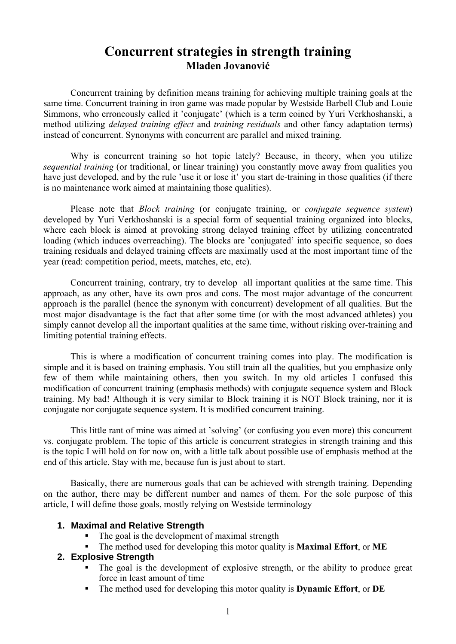# **Concurrent strategies in strength training Mladen Jovanović**

Concurrent training by definition means training for achieving multiple training goals at the same time. Concurrent training in iron game was made popular by Westside Barbell Club and Louie Simmons, who erroneously called it 'conjugate' (which is a term coined by Yuri Verkhoshanski, a method utilizing *delayed training effect* and *training residuals* and other fancy adaptation terms) instead of concurrent. Synonyms with concurrent are parallel and mixed training.

Why is concurrent training so hot topic lately? Because, in theory, when you utilize *sequential training* (or traditional, or linear training) you constantly move away from qualities you have just developed, and by the rule 'use it or lose it' you start de-training in those qualities (if there is no maintenance work aimed at maintaining those qualities).

Please note that *Block training* (or conjugate training, or *conjugate sequence system*) developed by Yuri Verkhoshanski is a special form of sequential training organized into blocks, where each block is aimed at provoking strong delayed training effect by utilizing concentrated loading (which induces overreaching). The blocks are 'conjugated' into specific sequence, so does training residuals and delayed training effects are maximally used at the most important time of the year (read: competition period, meets, matches, etc, etc).

Concurrent training, contrary, try to develop all important qualities at the same time. This approach, as any other, have its own pros and cons. The most major advantage of the concurrent approach is the parallel (hence the synonym with concurrent) development of all qualities. But the most major disadvantage is the fact that after some time (or with the most advanced athletes) you simply cannot develop all the important qualities at the same time, without risking over-training and limiting potential training effects.

This is where a modification of concurrent training comes into play. The modification is simple and it is based on training emphasis. You still train all the qualities, but you emphasize only few of them while maintaining others, then you switch. In my old articles I confused this modification of concurrent training (emphasis methods) with conjugate sequence system and Block training. My bad! Although it is very similar to Block training it is NOT Block training, nor it is conjugate nor conjugate sequence system. It is modified concurrent training.

This little rant of mine was aimed at 'solving' (or confusing you even more) this concurrent vs. conjugate problem. The topic of this article is concurrent strategies in strength training and this is the topic I will hold on for now on, with a little talk about possible use of emphasis method at the end of this article. Stay with me, because fun is just about to start.

Basically, there are numerous goals that can be achieved with strength training. Depending on the author, there may be different number and names of them. For the sole purpose of this article, I will define those goals, mostly relying on Westside terminology

#### **1. Maximal and Relative Strength**

- The goal is the development of maximal strength
- The method used for developing this motor quality is **Maximal Effort**, or **ME**

# **2. Explosive Strength**

- The goal is the development of explosive strength, or the ability to produce great force in least amount of time
- The method used for developing this motor quality is **Dynamic Effort**, or **DE**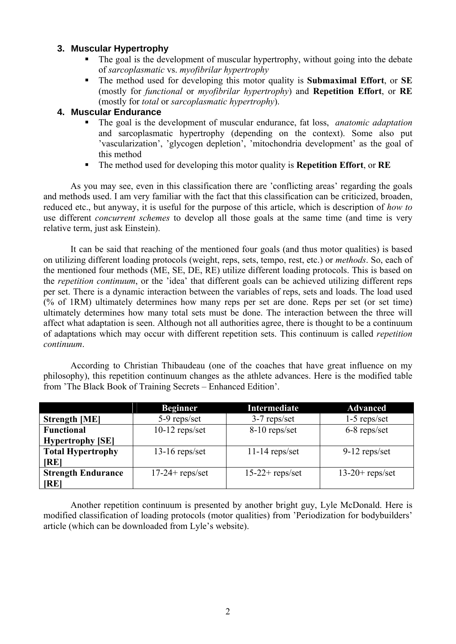# **3. Muscular Hypertrophy**

- The goal is the development of muscular hypertrophy, without going into the debate of *sarcoplasmatic* vs. *myofibrilar hypertrophy*
- The method used for developing this motor quality is **Submaximal Effort**, or **SE**  (mostly for *functional* or *myofibrilar hypertrophy*) and **Repetition Effort**, or **RE** (mostly for *total* or *sarcoplasmatic hypertrophy*).

# **4. Muscular Endurance**

- The goal is the development of muscular endurance, fat loss, *anatomic adaptation*  and sarcoplasmatic hypertrophy (depending on the context). Some also put 'vascularization', 'glycogen depletion', 'mitochondria development' as the goal of this method
- The method used for developing this motor quality is **Repetition Effort**, or **RE**

As you may see, even in this classification there are 'conflicting areas' regarding the goals and methods used. I am very familiar with the fact that this classification can be criticized, broaden, reduced etc., but anyway, it is useful for the purpose of this article, which is description of *how to* use different *concurrent schemes* to develop all those goals at the same time (and time is very relative term, just ask Einstein).

It can be said that reaching of the mentioned four goals (and thus motor qualities) is based on utilizing different loading protocols (weight, reps, sets, tempo, rest, etc.) or *methods*. So, each of the mentioned four methods (ME, SE, DE, RE) utilize different loading protocols. This is based on the *repetition continuum*, or the 'idea' that different goals can be achieved utilizing different reps per set. There is a dynamic interaction between the variables of reps, sets and loads. The load used (% of 1RM) ultimately determines how many reps per set are done. Reps per set (or set time) ultimately determines how many total sets must be done. The interaction between the three will affect what adaptation is seen. Although not all authorities agree, there is thought to be a continuum of adaptations which may occur with different repetition sets. This continuum is called *repetition continuum*.

According to Christian Thibaudeau (one of the coaches that have great influence on my philosophy), this repetition continuum changes as the athlete advances. Here is the modified table from 'The Black Book of Training Secrets – Enhanced Edition'.

|                           | <b>Beginner</b>    | Intermediate       | <b>Advanced</b>    |
|---------------------------|--------------------|--------------------|--------------------|
| <b>Strength [ME]</b>      | 5-9 reps/set       | 3-7 reps/set       | $1-5$ reps/set     |
| <b>Functional</b>         | $10-12$ reps/set   | 8-10 reps/set      | 6-8 reps/set       |
| <b>Hypertrophy</b> [SE]   |                    |                    |                    |
| <b>Total Hypertrophy</b>  | $13-16$ reps/set   | $11-14$ reps/set   | $9-12$ reps/set    |
| <b>IREI</b>               |                    |                    |                    |
| <b>Strength Endurance</b> | $17-24$ + reps/set | $15-22$ + reps/set | $13-20$ + reps/set |
| <b>IREI</b>               |                    |                    |                    |

Another repetition continuum is presented by another bright guy, Lyle McDonald. Here is modified classification of loading protocols (motor qualities) from 'Periodization for bodybuilders' article (which can be downloaded from Lyle's website).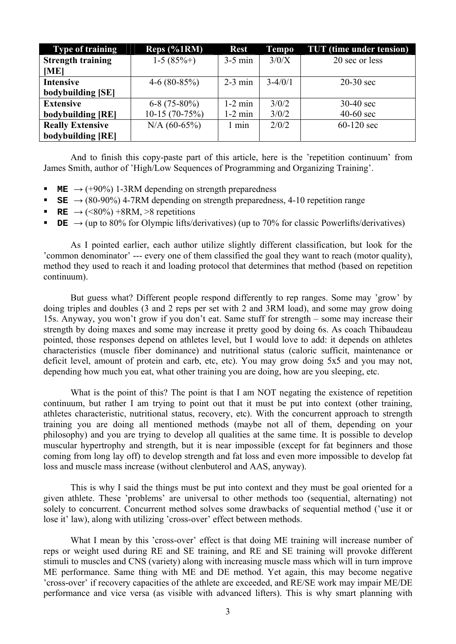| <b>Type of training</b>  | $Reps$ (%1RM)   | <b>Rest</b> | Tempo       | <b>TUT</b> (time under tension) |
|--------------------------|-----------------|-------------|-------------|---------------------------------|
| <b>Strength training</b> | $1-5(85% + )$   | $3-5$ min   | 3/0/X       | 20 sec or less                  |
| [ME]                     |                 |             |             |                                 |
| <b>Intensive</b>         | $4-6(80-85%)$   | $2-3$ min   | $3 - 4/0/1$ | $20-30$ sec                     |
| bodybuilding [SE]        |                 |             |             |                                 |
| <b>Extensive</b>         | $6-8(75-80\%)$  | $1-2$ min   | 3/0/2       | $30-40$ sec                     |
| bodybuilding [RE]        | $10-15(70-75%)$ | $1-2$ min   | 3/0/2       | $40-60$ sec                     |
| <b>Really Extensive</b>  | $N/A (60-65%)$  | min         | 2/0/2       | $60-120$ sec                    |
| bodybuilding [RE]        |                 |             |             |                                 |

And to finish this copy-paste part of this article, here is the 'repetition continuum' from James Smith, author of 'High/Low Sequences of Programming and Organizing Training'.

- **ME**  $\rightarrow$  (+90%) 1-3RM depending on strength preparedness
- **SE**  $\rightarrow$  (80-90%) 4-7RM depending on strength preparedness, 4-10 repetition range
- **RE** →  $(\leq 80\%) + 8RM$ ,  $\geq 8$  repetitions
- **DE**  $\rightarrow$  (up to 80% for Olympic lifts/derivatives) (up to 70% for classic Powerlifts/derivatives)

As I pointed earlier, each author utilize slightly different classification, but look for the 'common denominator' --- every one of them classified the goal they want to reach (motor quality), method they used to reach it and loading protocol that determines that method (based on repetition continuum).

But guess what? Different people respond differently to rep ranges. Some may 'grow' by doing triples and doubles (3 and 2 reps per set with 2 and 3RM load), and some may grow doing 15s. Anyway, you won't grow if you don't eat. Same stuff for strength – some may increase their strength by doing maxes and some may increase it pretty good by doing 6s. As coach Thibaudeau pointed, those responses depend on athletes level, but I would love to add: it depends on athletes characteristics (muscle fiber dominance) and nutritional status (caloric sufficit, maintenance or deficit level, amount of protein and carb, etc, etc). You may grow doing 5x5 and you may not, depending how much you eat, what other training you are doing, how are you sleeping, etc.

What is the point of this? The point is that I am NOT negating the existence of repetition continuum, but rather I am trying to point out that it must be put into context (other training, athletes characteristic, nutritional status, recovery, etc). With the concurrent approach to strength training you are doing all mentioned methods (maybe not all of them, depending on your philosophy) and you are trying to develop all qualities at the same time. It is possible to develop muscular hypertrophy and strength, but it is near impossible (except for fat beginners and those coming from long lay off) to develop strength and fat loss and even more impossible to develop fat loss and muscle mass increase (without clenbuterol and AAS, anyway).

This is why I said the things must be put into context and they must be goal oriented for a given athlete. These 'problems' are universal to other methods too (sequential, alternating) not solely to concurrent. Concurrent method solves some drawbacks of sequential method ('use it or lose it' law), along with utilizing 'cross-over' effect between methods.

What I mean by this 'cross-over' effect is that doing ME training will increase number of reps or weight used during RE and SE training, and RE and SE training will provoke different stimuli to muscles and CNS (variety) along with increasing muscle mass which will in turn improve ME performance. Same thing with ME and DE method. Yet again, this may become negative 'cross-over' if recovery capacities of the athlete are exceeded, and RE/SE work may impair ME/DE performance and vice versa (as visible with advanced lifters). This is why smart planning with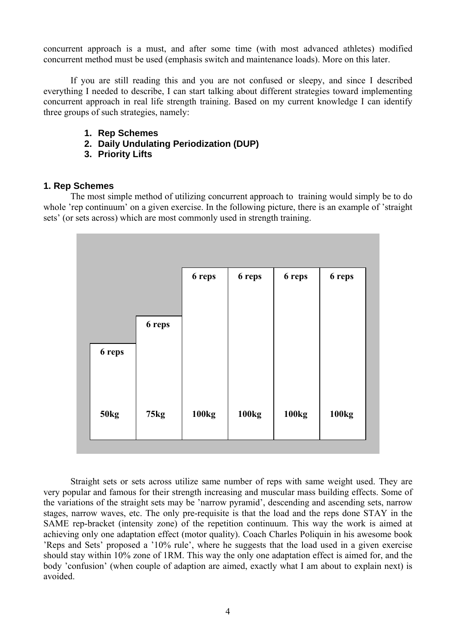concurrent approach is a must, and after some time (with most advanced athletes) modified concurrent method must be used (emphasis switch and maintenance loads). More on this later.

If you are still reading this and you are not confused or sleepy, and since I described everything I needed to describe, I can start talking about different strategies toward implementing concurrent approach in real life strength training. Based on my current knowledge I can identify three groups of such strategies, namely:

- **1. Rep Schemes**
- **2. Daily Undulating Periodization (DUP)**
- **3. Priority Lifts**

#### **1. Rep Schemes**

 The most simple method of utilizing concurrent approach to training would simply be to do whole 'rep continuum' on a given exercise. In the following picture, there is an example of 'straight sets' (or sets across) which are most commonly used in strength training.

|             |             | 6 reps            | 6 reps       | 6 reps | 6 reps |
|-------------|-------------|-------------------|--------------|--------|--------|
|             | 6 reps      |                   |              |        |        |
| 6 reps      |             |                   |              |        |        |
|             |             |                   |              |        |        |
| <b>50kg</b> | <b>75kg</b> | 100 <sub>kg</sub> | <b>100kg</b> | 100kg  | 100kg  |
|             |             |                   |              |        |        |

 Straight sets or sets across utilize same number of reps with same weight used. They are very popular and famous for their strength increasing and muscular mass building effects. Some of the variations of the straight sets may be 'narrow pyramid', descending and ascending sets, narrow stages, narrow waves, etc. The only pre-requisite is that the load and the reps done STAY in the SAME rep-bracket (intensity zone) of the repetition continuum. This way the work is aimed at achieving only one adaptation effect (motor quality). Coach Charles Poliquin in his awesome book 'Reps and Sets' proposed a '10% rule', where he suggests that the load used in a given exercise should stay within 10% zone of 1RM. This way the only one adaptation effect is aimed for, and the body 'confusion' (when couple of adaption are aimed, exactly what I am about to explain next) is avoided.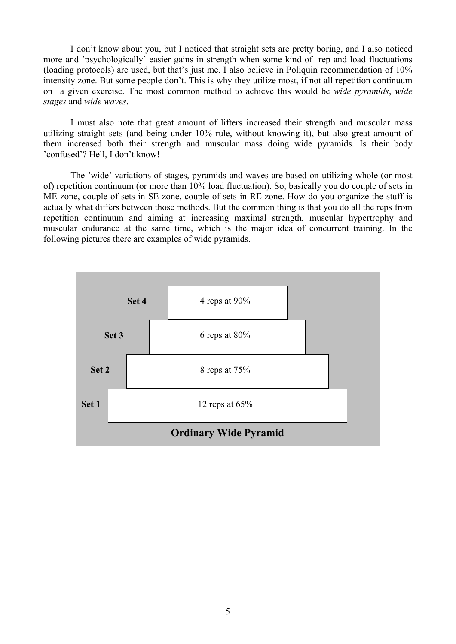I don't know about you, but I noticed that straight sets are pretty boring, and I also noticed more and 'psychologically' easier gains in strength when some kind of rep and load fluctuations (loading protocols) are used, but that's just me. I also believe in Poliquin recommendation of 10% intensity zone. But some people don't. This is why they utilize most, if not all repetition continuum on a given exercise. The most common method to achieve this would be *wide pyramids*, *wide stages* and *wide waves*.

 I must also note that great amount of lifters increased their strength and muscular mass utilizing straight sets (and being under 10% rule, without knowing it), but also great amount of them increased both their strength and muscular mass doing wide pyramids. Is their body 'confused'? Hell, I don't know!

 The 'wide' variations of stages, pyramids and waves are based on utilizing whole (or most of) repetition continuum (or more than 10% load fluctuation). So, basically you do couple of sets in ME zone, couple of sets in SE zone, couple of sets in RE zone. How do you organize the stuff is actually what differs between those methods. But the common thing is that you do all the reps from repetition continuum and aiming at increasing maximal strength, muscular hypertrophy and muscular endurance at the same time, which is the major idea of concurrent training. In the following pictures there are examples of wide pyramids.

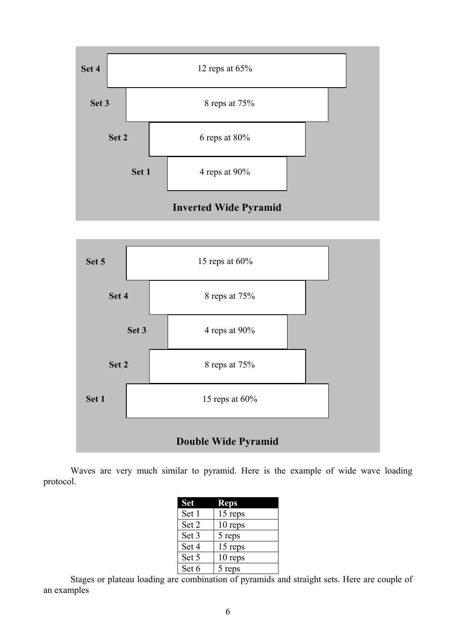



Waves are very much similar to pyramid. Here is the example of wide wave loading protocol.

| <b>Set</b> | <b>Reps</b> |
|------------|-------------|
| Set 1      | 15 reps     |
| Set 2      | 10 reps     |
| Set 3      | 5 reps      |
| Set 4      | 15 reps     |
| Set 5      | 10 reps     |
| Set 6      | 5 reps      |

Stages or plateau loading are combination of pyramids and straight sets. Here are couple of an examples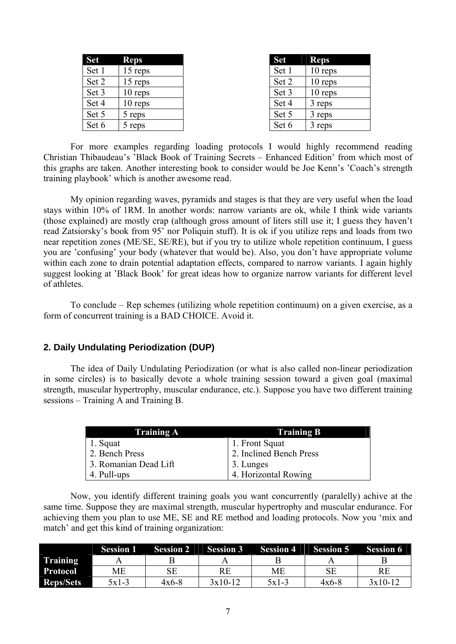| <b>Set</b> | <b>Reps</b> |
|------------|-------------|
| Set 1      | 15 reps     |
| Set 2      | 15 reps     |
| Set 3      | 10 reps     |
| Set 4      | 10 reps     |
| Set 5      | 5 reps      |
| Set 6      | 5 reps      |

| <b>Set</b> | <b>Reps</b> |
|------------|-------------|
| Set 1      | 10 reps     |
| Set 2      | 10 reps     |
| Set 3      | 10 reps     |
| Set 4      | 3 reps      |
| Set 5      | 3 reps      |
| Set 6      | 3 reps      |

For more examples regarding loading protocols I would highly recommend reading Christian Thibaudeau's 'Black Book of Training Secrets – Enhanced Edition' from which most of this graphs are taken. Another interesting book to consider would be Joe Kenn's 'Coach's strength training playbook' which is another awesome read.

My opinion regarding waves, pyramids and stages is that they are very useful when the load stays within 10% of 1RM. In another words: narrow variants are ok, while I think wide variants (those explained) are mostly crap (although gross amount of liters still use it; I guess they haven't read Zatsiorsky's book from 95' nor Poliquin stuff). It is ok if you utilize reps and loads from two near repetition zones (ME/SE, SE/RE), but if you try to utilize whole repetition continuum, I guess you are 'confusing' your body (whatever that would be). Also, you don't have appropriate volume within each zone to drain potential adaptation effects, compared to narrow variants. I again highly suggest looking at 'Black Book' for great ideas how to organize narrow variants for different level of athletes.

To conclude – Rep schemes (utilizing whole repetition continuum) on a given exercise, as a form of concurrent training is a BAD CHOICE. Avoid it.

### **2. Daily Undulating Periodization (DUP)**

 The idea of Daily Undulating Periodization (or what is also called non-linear periodization in some circles) is to basically devote a whole training session toward a given goal (maximal strength, muscular hypertrophy, muscular endurance, etc.). Suppose you have two different training sessions – Training A and Training B.

| Training A            | <b>Training B</b>       |
|-----------------------|-------------------------|
| 1. Squat              | 1. Front Squat          |
| 2. Bench Press        | 2. Inclined Bench Press |
| 3. Romanian Dead Lift | 3. Lunges               |
| 4. Pull-ups           | 4. Horizontal Rowing    |

 Now, you identify different training goals you want concurrently (paralelly) achive at the same time. Suppose they are maximal strength, muscular hypertrophy and muscular endurance. For achieving them you plan to use ME, SE and RE method and loading protocols. Now you 'mix and match' and get this kind of training organization:

|                  | <b>Session 1</b> | <b>Session 2</b> | <b>Session 3</b> | <b>Session 4</b> | <b>Session 5</b> | <b>Session 6</b> |
|------------------|------------------|------------------|------------------|------------------|------------------|------------------|
| <b>Training</b>  |                  |                  |                  |                  |                  |                  |
| <b>Protocol</b>  | ME               |                  | RE               | МE               |                  | RE               |
| <b>Reps/Sets</b> | $5x1-3$          | $4x6-8$          | $3x10-12$        | $5x1-3$          | $4x6-8$          | $3x10-12$        |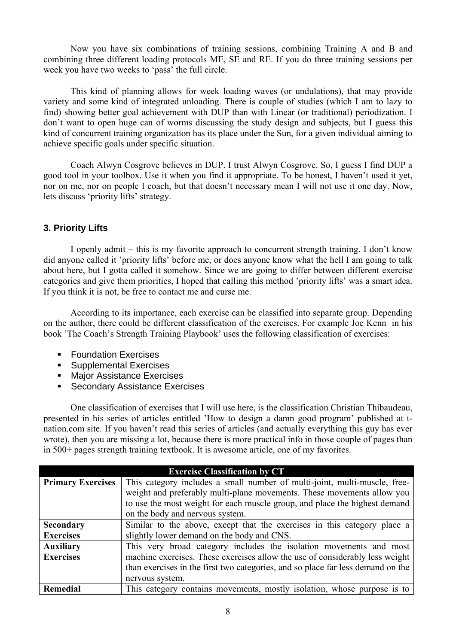Now you have six combinations of training sessions, combining Training A and B and combining three different loading protocols ME, SE and RE. If you do three training sessions per week you have two weeks to 'pass' the full circle.

This kind of planning allows for week loading waves (or undulations), that may provide variety and some kind of integrated unloading. There is couple of studies (which I am to lazy to find) showing better goal achievement with DUP than with Linear (or traditional) periodization. I don't want to open huge can of worms discussing the study design and subjects, but I guess this kind of concurrent training organization has its place under the Sun, for a given individual aiming to achieve specific goals under specific situation.

Coach Alwyn Cosgrove believes in DUP. I trust Alwyn Cosgrove. So, I guess I find DUP a good tool in your toolbox. Use it when you find it appropriate. To be honest, I haven't used it yet, nor on me, nor on people I coach, but that doesn't necessary mean I will not use it one day. Now, lets discuss 'priority lifts' strategy.

# **3. Priority Lifts**

 I openly admit – this is my favorite approach to concurrent strength training. I don't know did anyone called it 'priority lifts' before me, or does anyone know what the hell I am going to talk about here, but I gotta called it somehow. Since we are going to differ between different exercise categories and give them priorities, I hoped that calling this method 'priority lifts' was a smart idea. If you think it is not, be free to contact me and curse me.

 According to its importance, each exercise can be classified into separate group. Depending on the author, there could be different classification of the exercises. For example Joe Kenn in his book 'The Coach's Strength Training Playbook' uses the following classification of exercises:

- **Foundation Exercises**
- **Supplemental Exercises**
- Major Assistance Exercises
- **Secondary Assistance Exercises**

One classification of exercises that I will use here, is the classification Christian Thibaudeau, presented in his series of articles entitled 'How to design a damn good program' published at tnation.com site. If you haven't read this series of articles (and actually everything this guy has ever wrote), then you are missing a lot, because there is more practical info in those couple of pages than in 500+ pages strength training textbook. It is awesome article, one of my favorites.

|                          | <b>Exercise Classification by CT</b>                                            |
|--------------------------|---------------------------------------------------------------------------------|
| <b>Primary Exercises</b> | This category includes a small number of multi-joint, multi-muscle, free-       |
|                          | weight and preferably multi-plane movements. These movements allow you          |
|                          | to use the most weight for each muscle group, and place the highest demand      |
|                          | on the body and nervous system.                                                 |
| <b>Secondary</b>         | Similar to the above, except that the exercises in this category place a        |
| <b>Exercises</b>         | slightly lower demand on the body and CNS.                                      |
| <b>Auxiliary</b>         | This very broad category includes the isolation movements and most              |
| <b>Exercises</b>         | machine exercises. These exercises allow the use of considerably less weight    |
|                          | than exercises in the first two categories, and so place far less demand on the |
|                          | nervous system.                                                                 |
| Remedial                 | This category contains movements, mostly isolation, whose purpose is to         |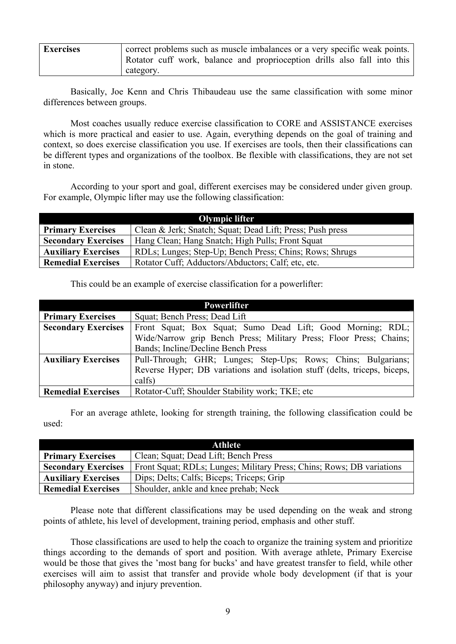| <b>Exercises</b> | correct problems such as muscle imbalances or a very specific weak points. |
|------------------|----------------------------------------------------------------------------|
|                  | Rotator cuff work, balance and proprioception drills also fall into this   |
|                  | category.                                                                  |

 Basically, Joe Kenn and Chris Thibaudeau use the same classification with some minor differences between groups.

 Most coaches usually reduce exercise classification to CORE and ASSISTANCE exercises which is more practical and easier to use. Again, everything depends on the goal of training and context, so does exercise classification you use. If exercises are tools, then their classifications can be different types and organizations of the toolbox. Be flexible with classifications, they are not set in stone.

 According to your sport and goal, different exercises may be considered under given group. For example, Olympic lifter may use the following classification:

| <b>Olympic lifter</b>      |                                                           |  |
|----------------------------|-----------------------------------------------------------|--|
| <b>Primary Exercises</b>   | Clean & Jerk; Snatch; Squat; Dead Lift; Press; Push press |  |
| <b>Secondary Exercises</b> | Hang Clean; Hang Snatch; High Pulls; Front Squat          |  |
| <b>Auxiliary Exercises</b> | RDLs; Lunges; Step-Up; Bench Press; Chins; Rows; Shrugs   |  |
| <b>Remedial Exercises</b>  | Rotator Cuff; Adductors/Abductors; Calf; etc. etc.        |  |

This could be an example of exercise classification for a powerlifter:

| <b>Powerlifter</b>         |                                                                           |  |
|----------------------------|---------------------------------------------------------------------------|--|
| <b>Primary Exercises</b>   | Squat; Bench Press; Dead Lift                                             |  |
| <b>Secondary Exercises</b> | Front Squat; Box Squat; Sumo Dead Lift; Good Morning; RDL;                |  |
|                            | Wide/Narrow grip Bench Press; Military Press; Floor Press; Chains;        |  |
|                            | Bands; Incline/Decline Bench Press                                        |  |
| <b>Auxiliary Exercises</b> | Pull-Through; GHR; Lunges; Step-Ups; Rows; Chins; Bulgarians;             |  |
|                            | Reverse Hyper; DB variations and isolation stuff (delts, triceps, biceps, |  |
|                            | calfs)                                                                    |  |
| <b>Remedial Exercises</b>  | Rotator-Cuff; Shoulder Stability work; TKE; etc.                          |  |

For an average athlete, looking for strength training, the following classification could be used:

| Athlete                    |                                                                       |  |
|----------------------------|-----------------------------------------------------------------------|--|
| <b>Primary Exercises</b>   | Clean; Squat; Dead Lift; Bench Press                                  |  |
| <b>Secondary Exercises</b> | Front Squat; RDLs; Lunges; Military Press; Chins; Rows; DB variations |  |
| <b>Auxiliary Exercises</b> | Dips; Delts; Calfs; Biceps; Triceps; Grip                             |  |
| <b>Remedial Exercises</b>  | Shoulder, ankle and knee prehab; Neck                                 |  |

 Please note that different classifications may be used depending on the weak and strong points of athlete, his level of development, training period, emphasis and other stuff.

Those classifications are used to help the coach to organize the training system and prioritize things according to the demands of sport and position. With average athlete, Primary Exercise would be those that gives the 'most bang for bucks' and have greatest transfer to field, while other exercises will aim to assist that transfer and provide whole body development (if that is your philosophy anyway) and injury prevention.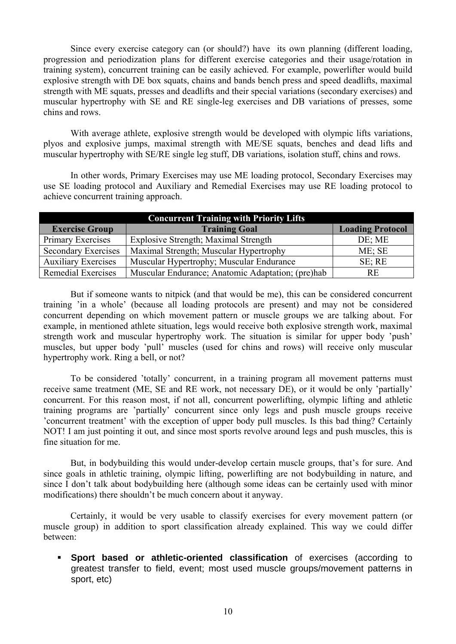Since every exercise category can (or should?) have its own planning (different loading, progression and periodization plans for different exercise categories and their usage/rotation in training system), concurrent training can be easily achieved. For example, powerlifter would build explosive strength with DE box squats, chains and bands bench press and speed deadlifts, maximal strength with ME squats, presses and deadlifts and their special variations (secondary exercises) and muscular hypertrophy with SE and RE single-leg exercises and DB variations of presses, some chins and rows.

With average athlete, explosive strength would be developed with olympic lifts variations, plyos and explosive jumps, maximal strength with ME/SE squats, benches and dead lifts and muscular hypertrophy with SE/RE single leg stuff, DB variations, isolation stuff, chins and rows.

In other words, Primary Exercises may use ME loading protocol, Secondary Exercises may use SE loading protocol and Auxiliary and Remedial Exercises may use RE loading protocol to achieve concurrent training approach.

| <b>Concurrent Training with Priority Lifts</b> |                                                   |                         |  |
|------------------------------------------------|---------------------------------------------------|-------------------------|--|
| <b>Exercise Group</b>                          | <b>Training Goal</b>                              | <b>Loading Protocol</b> |  |
| Primary Exercises                              | <b>Explosive Strength; Maximal Strength</b>       | DE; ME                  |  |
| <b>Secondary Exercises</b>                     | Maximal Strength; Muscular Hypertrophy            | $ME$ ; SE               |  |
| <b>Auxiliary Exercises</b>                     | Muscular Hypertrophy; Muscular Endurance          | $SE$ ; RE               |  |
| Remedial Exercises                             | Muscular Endurance; Anatomic Adaptation; (pre)hab | <b>RE</b>               |  |

But if someone wants to nitpick (and that would be me), this can be considered concurrent training 'in a whole' (because all loading protocols are present) and may not be considered concurrent depending on which movement pattern or muscle groups we are talking about. For example, in mentioned athlete situation, legs would receive both explosive strength work, maximal strength work and muscular hypertrophy work. The situation is similar for upper body 'push' muscles, but upper body 'pull' muscles (used for chins and rows) will receive only muscular hypertrophy work. Ring a bell, or not?

 To be considered 'totally' concurrent, in a training program all movement patterns must receive same treatment (ME, SE and RE work, not necessary DE), or it would be only 'partially' concurrent. For this reason most, if not all, concurrent powerlifting, olympic lifting and athletic training programs are 'partially' concurrent since only legs and push muscle groups receive 'concurrent treatment' with the exception of upper body pull muscles. Is this bad thing? Certainly NOT! I am just pointing it out, and since most sports revolve around legs and push muscles, this is fine situation for me.

 But, in bodybuilding this would under-develop certain muscle groups, that's for sure. And since goals in athletic training, olympic lifting, powerlifting are not bodybuilding in nature, and since I don't talk about bodybuilding here (although some ideas can be certainly used with minor modifications) there shouldn't be much concern about it anyway.

 Certainly, it would be very usable to classify exercises for every movement pattern (or muscle group) in addition to sport classification already explained. This way we could differ between:

 **Sport based or athletic-oriented classification** of exercises (according to greatest transfer to field, event; most used muscle groups/movement patterns in sport, etc)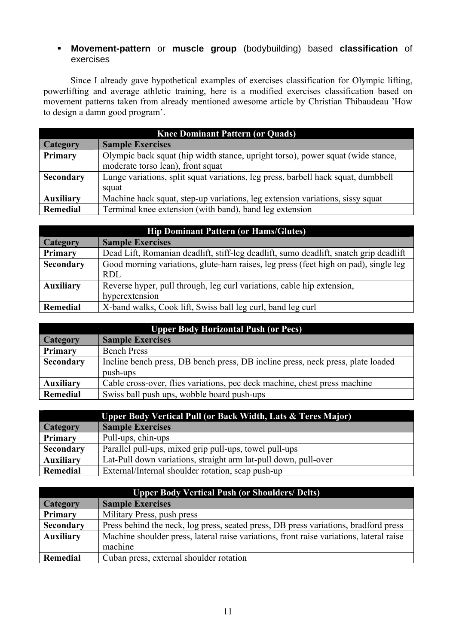# **Movement-pattern** or **muscle group** (bodybuilding) based **classification** of exercises

Since I already gave hypothetical examples of exercises classification for Olympic lifting, powerlifting and average athletic training, here is a modified exercises classification based on movement patterns taken from already mentioned awesome article by Christian Thibaudeau 'How to design a damn good program'.

| <b>Knee Dominant Pattern (or Quads)</b> |                                                                                                                      |  |
|-----------------------------------------|----------------------------------------------------------------------------------------------------------------------|--|
| <b>Category</b>                         | <b>Sample Exercises</b>                                                                                              |  |
| <b>Primary</b>                          | Olympic back squat (hip width stance, upright torso), power squat (wide stance,<br>moderate torso lean), front squat |  |
| <b>Secondary</b>                        | Lunge variations, split squat variations, leg press, barbell hack squat, dumbbell<br>squat                           |  |
| <b>Auxiliary</b>                        | Machine hack squat, step-up variations, leg extension variations, sissy squat                                        |  |
| <b>Remedial</b>                         | Terminal knee extension (with band), band leg extension                                                              |  |

| <b>Hip Dominant Pattern (or Hams/Glutes)</b> |                                                                                       |  |
|----------------------------------------------|---------------------------------------------------------------------------------------|--|
| <b>Category</b>                              | <b>Sample Exercises</b>                                                               |  |
| Primary                                      | Dead Lift, Romanian deadlift, stiff-leg deadlift, sumo deadlift, snatch grip deadlift |  |
| <b>Secondary</b>                             | Good morning variations, glute-ham raises, leg press (feet high on pad), single leg   |  |
|                                              | RDL                                                                                   |  |
| <b>Auxiliary</b>                             | Reverse hyper, pull through, leg curl variations, cable hip extension,                |  |
|                                              | hyperextension                                                                        |  |
| Remedial                                     | X-band walks, Cook lift, Swiss ball leg curl, band leg curl                           |  |

| <b>Upper Body Horizontal Push (or Pecs)</b> |                                                                                 |  |
|---------------------------------------------|---------------------------------------------------------------------------------|--|
| <b>Category</b>                             | <b>Sample Exercises</b>                                                         |  |
| <b>Primary</b>                              | <b>Bench Press</b>                                                              |  |
| <b>Secondary</b>                            | Incline bench press, DB bench press, DB incline press, neck press, plate loaded |  |
|                                             | push-ups                                                                        |  |
| <b>Auxiliary</b>                            | Cable cross-over, flies variations, pec deck machine, chest press machine       |  |
| Remedial                                    | Swiss ball push ups, wobble board push-ups                                      |  |

| Upper Body Vertical Pull (or Back Width, Lats & Teres Major) |                                                                 |  |
|--------------------------------------------------------------|-----------------------------------------------------------------|--|
| <b>Category</b>                                              | <b>Sample Exercises</b>                                         |  |
| <b>Primary</b>                                               | Pull-ups, chin-ups                                              |  |
| Secondary                                                    | Parallel pull-ups, mixed grip pull-ups, towel pull-ups          |  |
| <b>Auxiliary</b>                                             | Lat-Pull down variations, straight arm lat-pull down, pull-over |  |
| Remedial                                                     | External/Internal shoulder rotation, scap push-up               |  |

| <b>Upper Body Vertical Push (or Shoulders/ Delts)</b> |                                                                                         |  |
|-------------------------------------------------------|-----------------------------------------------------------------------------------------|--|
| <b>Category</b>                                       | <b>Sample Exercises</b>                                                                 |  |
| <b>Primary</b>                                        | Military Press, push press                                                              |  |
| Secondary                                             | Press behind the neck, log press, seated press, DB press variations, bradford press     |  |
| <b>Auxiliary</b>                                      | Machine shoulder press, lateral raise variations, front raise variations, lateral raise |  |
|                                                       | machine                                                                                 |  |
| Remedial                                              | Cuban press, external shoulder rotation                                                 |  |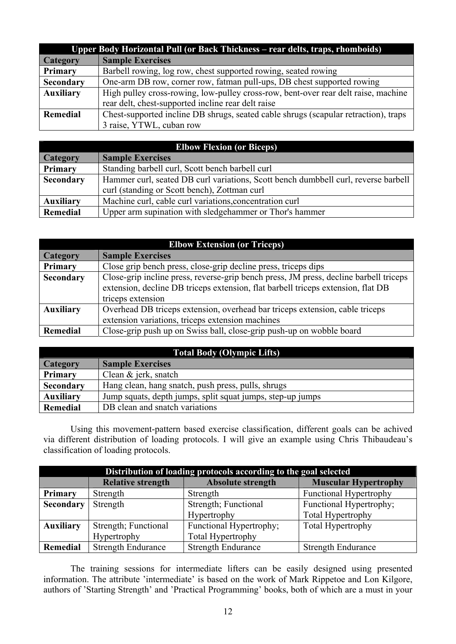| Upper Body Horizontal Pull (or Back Thickness – rear delts, traps, rhomboids) |                                                                                     |  |
|-------------------------------------------------------------------------------|-------------------------------------------------------------------------------------|--|
| <b>Category</b>                                                               | <b>Sample Exercises</b>                                                             |  |
| Primary                                                                       | Barbell rowing, log row, chest supported rowing, seated rowing                      |  |
| Secondary                                                                     | One-arm DB row, corner row, fatman pull-ups, DB chest supported rowing              |  |
| <b>Auxiliary</b>                                                              | High pulley cross-rowing, low-pulley cross-row, bent-over rear delt raise, machine  |  |
|                                                                               | rear delt, chest-supported incline rear delt raise                                  |  |
| <b>Remedial</b>                                                               | Chest-supported incline DB shrugs, seated cable shrugs (scapular retraction), traps |  |
|                                                                               | 3 raise, YTWL, cuban row                                                            |  |

| <b>Elbow Flexion (or Biceps)</b> |                                                                                    |  |
|----------------------------------|------------------------------------------------------------------------------------|--|
| <b>Category</b>                  | <b>Sample Exercises</b>                                                            |  |
| Primary                          | Standing barbell curl, Scott bench barbell curl                                    |  |
| Secondary                        | Hammer curl, seated DB curl variations, Scott bench dumbbell curl, reverse barbell |  |
|                                  | curl (standing or Scott bench), Zottman curl                                       |  |
| <b>Auxiliary</b>                 | Machine curl, cable curl variations, concentration curl                            |  |
| Remedial                         | Upper arm supination with sledgehammer or Thor's hammer                            |  |

| <b>Elbow Extension (or Triceps)</b> |                                                                                                                                                                                                |  |
|-------------------------------------|------------------------------------------------------------------------------------------------------------------------------------------------------------------------------------------------|--|
| <b>Category</b>                     | <b>Sample Exercises</b>                                                                                                                                                                        |  |
| Primary                             | Close grip bench press, close-grip decline press, triceps dips                                                                                                                                 |  |
| <b>Secondary</b>                    | Close-grip incline press, reverse-grip bench press, JM press, decline barbell triceps<br>extension, decline DB triceps extension, flat barbell triceps extension, flat DB<br>triceps extension |  |
| <b>Auxiliary</b>                    | Overhead DB triceps extension, overhead bar triceps extension, cable triceps<br>extension variations, triceps extension machines                                                               |  |
| <b>Remedial</b>                     | Close-grip push up on Swiss ball, close-grip push-up on wobble board                                                                                                                           |  |

| Total Body (Olympic Lifts) |                                                            |  |
|----------------------------|------------------------------------------------------------|--|
| <b>Category</b>            | <b>Sample Exercises</b>                                    |  |
| <b>Primary</b>             | Clean & jerk, snatch                                       |  |
| Secondary                  | Hang clean, hang snatch, push press, pulls, shrugs         |  |
| <b>Auxiliary</b>           | Jump squats, depth jumps, split squat jumps, step-up jumps |  |
| Remedial                   | DB clean and snatch variations                             |  |

Using this movement-pattern based exercise classification, different goals can be achived via different distribution of loading protocols. I will give an example using Chris Thibaudeau's classification of loading protocols.

|                  | Distribution of loading protocols according to the goal selected |                           |                               |  |
|------------------|------------------------------------------------------------------|---------------------------|-------------------------------|--|
|                  | <b>Relative strength</b>                                         | <b>Absolute strength</b>  | <b>Muscular Hypertrophy</b>   |  |
| Primary          | Strength                                                         | Strength                  | <b>Functional Hypertrophy</b> |  |
| <b>Secondary</b> | Strength                                                         | Strength; Functional      | Functional Hypertrophy;       |  |
|                  |                                                                  | Hypertrophy               | Total Hypertrophy             |  |
| <b>Auxiliary</b> | Strength; Functional                                             | Functional Hypertrophy;   | <b>Total Hypertrophy</b>      |  |
|                  | Hypertrophy                                                      | <b>Total Hypertrophy</b>  |                               |  |
| Remedial         | <b>Strength Endurance</b>                                        | <b>Strength Endurance</b> | <b>Strength Endurance</b>     |  |

 The training sessions for intermediate lifters can be easily designed using presented information. The attribute 'intermediate' is based on the work of Mark Rippetoe and Lon Kilgore, authors of 'Starting Strength' and 'Practical Programming' books, both of which are a must in your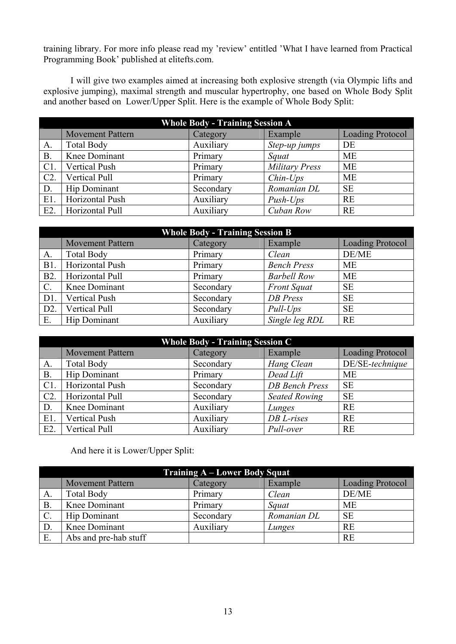training library. For more info please read my 'review' entitled 'What I have learned from Practical Programming Book' published at elitefts.com.

I will give two examples aimed at increasing both explosive strength (via Olympic lifts and explosive jumping), maximal strength and muscular hypertrophy, one based on Whole Body Split and another based on Lower/Upper Split. Here is the example of Whole Body Split:

| <b>Whole Body - Training Session A</b>                                    |                      |           |                       |           |  |  |
|---------------------------------------------------------------------------|----------------------|-----------|-----------------------|-----------|--|--|
| <b>Loading Protocol</b><br><b>Movement Pattern</b><br>Example<br>Category |                      |           |                       |           |  |  |
| A.                                                                        | <b>Total Body</b>    | Auxiliary | Step-up jumps         | DE        |  |  |
| <b>B.</b>                                                                 | Knee Dominant        | Primary   | Squat                 | <b>ME</b> |  |  |
| $C1$ .                                                                    | <b>Vertical Push</b> | Primary   | <b>Military Press</b> | <b>ME</b> |  |  |
| $C2$ .                                                                    | Vertical Pull        | Primary   | $Chin-Ups$            | <b>ME</b> |  |  |
| D.                                                                        | <b>Hip Dominant</b>  | Secondary | Romanian DL           | <b>SE</b> |  |  |
| $E1$ .                                                                    | Horizontal Push      | Auxiliary | $Push-Ups$            | <b>RE</b> |  |  |
| $E2$ .                                                                    | Horizontal Pull      | Auxiliary | Cuban Row             | <b>RE</b> |  |  |

| <b>Whole Body - Training Session B</b> |                                                                           |           |                    |           |  |  |  |
|----------------------------------------|---------------------------------------------------------------------------|-----------|--------------------|-----------|--|--|--|
|                                        | <b>Loading Protocol</b><br><b>Movement Pattern</b><br>Example<br>Category |           |                    |           |  |  |  |
| A.                                     | <b>Total Body</b>                                                         | Primary   | Clean              | DE/ME     |  |  |  |
| B1.                                    | Horizontal Push                                                           | Primary   | <b>Bench Press</b> | <b>ME</b> |  |  |  |
| <b>B2.</b>                             | Horizontal Pull                                                           | Primary   | <b>Barbell Row</b> | <b>ME</b> |  |  |  |
| $\mathbf{C}$ .                         | Knee Dominant                                                             | Secondary | <b>Front Squat</b> | <b>SE</b> |  |  |  |
| D1.                                    | <b>Vertical Push</b>                                                      | Secondary | <b>DB</b> Press    | <b>SE</b> |  |  |  |
| D2.                                    | Vertical Pull                                                             | Secondary | Pull-Ups           | <b>SE</b> |  |  |  |
| E.                                     | <b>Hip Dominant</b>                                                       | Auxiliary | Single leg RDL     | <b>RE</b> |  |  |  |

| <b>Whole Body - Training Session C</b> |                                                                           |           |                       |                 |  |  |  |
|----------------------------------------|---------------------------------------------------------------------------|-----------|-----------------------|-----------------|--|--|--|
|                                        | <b>Loading Protocol</b><br><b>Movement Pattern</b><br>Example<br>Category |           |                       |                 |  |  |  |
| A.                                     | <b>Total Body</b>                                                         | Secondary | Hang Clean            | DE/SE-technique |  |  |  |
| $B$ .                                  | <b>Hip Dominant</b>                                                       | Primary   | Dead Lift             | ME              |  |  |  |
| $C1$ .                                 | Horizontal Push                                                           | Secondary | <b>DB</b> Bench Press | <b>SE</b>       |  |  |  |
| $C2$ .                                 | Horizontal Pull                                                           | Secondary | <b>Seated Rowing</b>  | <b>SE</b>       |  |  |  |
| D.                                     | Knee Dominant                                                             | Auxiliary | Lunges                | <b>RE</b>       |  |  |  |
| $E1$ .                                 | <b>Vertical Push</b>                                                      | Auxiliary | DB L-rises            | <b>RE</b>       |  |  |  |
| $E2$ .                                 | Vertical Pull                                                             | Auxiliary | Pull-over             | RE              |  |  |  |

And here it is Lower/Upper Split:

| Training A - Lower Body Squat |                         |           |             |                         |
|-------------------------------|-------------------------|-----------|-------------|-------------------------|
|                               | <b>Movement Pattern</b> | Category  | Example     | <b>Loading Protocol</b> |
| А.                            | <b>Total Body</b>       | Primary   | Clean       | DE/ME                   |
| $\mathbf{B}$                  | Knee Dominant           | Primary   | Squat       | <b>ME</b>               |
| $\mathcal{C}$ .               | Hip Dominant            | Secondary | Romanian DL | <b>SE</b>               |
| D.                            | Knee Dominant           | Auxiliary | Lunges      | <b>RE</b>               |
| Ε.                            | Abs and pre-hab stuff   |           |             | <b>RE</b>               |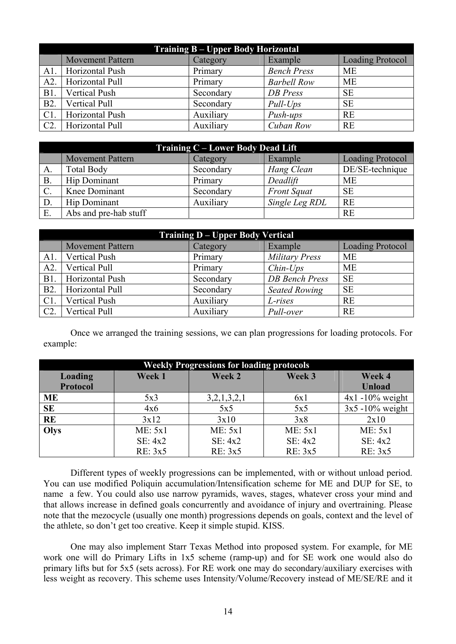| <b>Training B – Upper Body Horizontal</b> |                         |           |                    |                         |
|-------------------------------------------|-------------------------|-----------|--------------------|-------------------------|
|                                           | <b>Movement Pattern</b> | Category  | Example            | <b>Loading Protocol</b> |
| A1.                                       | Horizontal Push         | Primary   | <b>Bench Press</b> | ME                      |
| A2.                                       | Horizontal Pull         | Primary   | <b>Barbell Row</b> | <b>ME</b>               |
| B1.                                       | <b>Vertical Push</b>    | Secondary | <b>DB</b> Press    | <b>SE</b>               |
| B <sub>2</sub> .                          | Vertical Pull           | Secondary | $Pull-Ups$         | <b>SE</b>               |
| C1.                                       | Horizontal Push         | Auxiliary | Push-ups           | <b>RE</b>               |
| C2.                                       | Horizontal Pull         | Auxiliary | Cuban Row          | <b>RE</b>               |

| Training C – Lower Body Dead Lift |                                                                           |           |                    |                 |  |  |
|-----------------------------------|---------------------------------------------------------------------------|-----------|--------------------|-----------------|--|--|
|                                   | <b>Loading Protocol</b><br><b>Movement Pattern</b><br>Example<br>Category |           |                    |                 |  |  |
| A.                                | <b>Total Body</b>                                                         | Secondary | Hang Clean         | DE/SE-technique |  |  |
| $B$ .                             | <b>Hip Dominant</b>                                                       | Primary   | Deadlift           | <b>ME</b>       |  |  |
| $C$ .                             | Knee Dominant                                                             | Secondary | <b>Front Squat</b> | <b>SE</b>       |  |  |
| D.                                | Hip Dominant                                                              | Auxiliary | Single Leg RDL     | <b>RE</b>       |  |  |
| Ε.                                | Abs and pre-hab stuff                                                     |           |                    | <b>RE</b>       |  |  |

| <b>Training D – Upper Body Vertical</b> |                         |           |                       |                         |
|-----------------------------------------|-------------------------|-----------|-----------------------|-------------------------|
|                                         | <b>Movement Pattern</b> | Category  | Example               | <b>Loading Protocol</b> |
| $A1$ .                                  | <b>Vertical Push</b>    | Primary   | <b>Military Press</b> | <b>ME</b>               |
| A2                                      | <b>Vertical Pull</b>    | Primary   | $Chin-Ups$            | <b>ME</b>               |
| B1.                                     | Horizontal Push         | Secondary | <b>DB</b> Bench Press | <b>SE</b>               |
| B <sub>2</sub> .                        | Horizontal Pull         | Secondary | <b>Seated Rowing</b>  | <b>SE</b>               |
| $C1$ .                                  | <b>Vertical Push</b>    | Auxiliary | L-rises               | <b>RE</b>               |
| C2.                                     | Vertical Pull           | Auxiliary | Pull-over             | <b>RE</b>               |

 Once we arranged the training sessions, we can plan progressions for loading protocols. For example:

| <b>Weekly Progressions for loading protocols</b> |         |             |         |                     |  |
|--------------------------------------------------|---------|-------------|---------|---------------------|--|
| <b>Loading</b>                                   | Week 1  | Week 2      | Week 3  | Week 4              |  |
| <b>Protocol</b>                                  |         |             |         | <b>Unload</b>       |  |
| <b>ME</b>                                        | 5x3     | 3,2,1,3,2,1 | 6x1     | $4x1 - 10\%$ weight |  |
| <b>SE</b>                                        | 4x6     | 5x5         | 5x5     | $3x5 - 10\%$ weight |  |
| <b>RE</b>                                        | 3x12    | 3x10        | 3x8     | 2x10                |  |
| Olys                                             | ME: 5x1 | ME: 5x1     | ME: 5x1 | ME: 5x1             |  |
|                                                  | SE: 4x2 | SE: 4x2     | SE: 4x2 | SE: 4x2             |  |
|                                                  | RE: 3x5 | RE: 3x5     | RE: 3x5 | RE: 3x5             |  |

 Different types of weekly progressions can be implemented, with or without unload period. You can use modified Poliquin accumulation/Intensification scheme for ME and DUP for SE, to name a few. You could also use narrow pyramids, waves, stages, whatever cross your mind and that allows increase in defined goals concurrently and avoidance of injury and overtraining. Please note that the mezocycle (usually one month) progressions depends on goals, context and the level of the athlete, so don't get too creative. Keep it simple stupid. KISS.

One may also implement Starr Texas Method into proposed system. For example, for ME work one will do Primary Lifts in 1x5 scheme (ramp-up) and for SE work one would also do primary lifts but for 5x5 (sets across). For RE work one may do secondary/auxiliary exercises with less weight as recovery. This scheme uses Intensity/Volume/Recovery instead of ME/SE/RE and it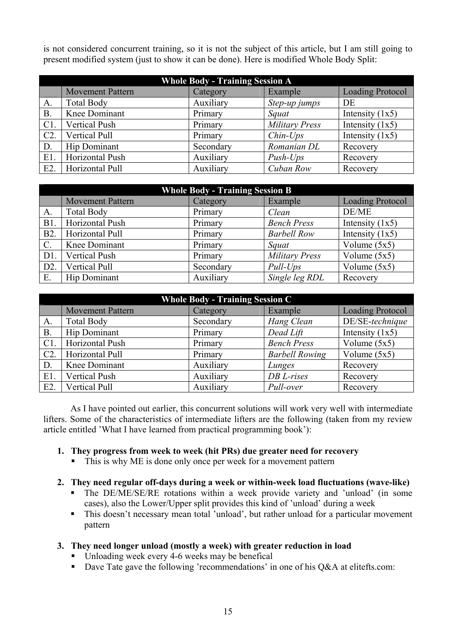is not considered concurrent training, so it is not the subject of this article, but I am still going to present modified system (just to show it can be done). Here is modified Whole Body Split:

| <b>Whole Body - Training Session A</b> |                         |           |                       |                         |
|----------------------------------------|-------------------------|-----------|-----------------------|-------------------------|
|                                        | <b>Movement Pattern</b> | Category  | Example               | <b>Loading Protocol</b> |
| A.                                     | <b>Total Body</b>       | Auxiliary | Step-up jumps         | DE                      |
| <b>B.</b>                              | Knee Dominant           | Primary   | Squat                 | Intensity $(1x5)$       |
| $C1$ .                                 | <b>Vertical Push</b>    | Primary   | <b>Military Press</b> | Intensity $(1x5)$       |
| C2.                                    | Vertical Pull           | Primary   | $Chin-Ups$            | Intensity $(1x5)$       |
| D.                                     | <b>Hip Dominant</b>     | Secondary | Romanian DL           | Recovery                |
| $E1$ .                                 | Horizontal Push         | Auxiliary | $Push-Ups$            | Recovery                |
| $E2$ .                                 | Horizontal Pull         | Auxiliary | Cuban Row             | Recovery                |

| <b>Whole Body - Training Session B</b> |                         |           |                       |                         |
|----------------------------------------|-------------------------|-----------|-----------------------|-------------------------|
|                                        | <b>Movement Pattern</b> | Category  | Example               | <b>Loading Protocol</b> |
| A.                                     | <b>Total Body</b>       | Primary   | Clean                 | DE/ME                   |
| B1.                                    | Horizontal Push         | Primary   | <b>Bench Press</b>    | Intensity $(1x5)$       |
| B <sub>2</sub> .                       | Horizontal Pull         | Primary   | <b>Barbell Row</b>    | Intensity $(1x5)$       |
| $\mathcal{C}$ .                        | Knee Dominant           | Primary   | Squat                 | Volume $(5x5)$          |
| D1.                                    | <b>Vertical Push</b>    | Primary   | <b>Military Press</b> | Volume $(5x5)$          |
| D2.                                    | Vertical Pull           | Secondary | Pull-Ups              | Volume $(5x5)$          |
| Ε.                                     | Hip Dominant            | Auxiliary | Single leg RDL        | Recovery                |

| <b>Whole Body - Training Session C</b> |                                                                           |           |                       |                   |  |  |  |
|----------------------------------------|---------------------------------------------------------------------------|-----------|-----------------------|-------------------|--|--|--|
|                                        | <b>Loading Protocol</b><br><b>Movement Pattern</b><br>Example<br>Category |           |                       |                   |  |  |  |
| Α.                                     | <b>Total Body</b>                                                         | Secondary | Hang Clean            | DE/SE-technique   |  |  |  |
| <b>B.</b>                              | <b>Hip Dominant</b>                                                       | Primary   | Dead Lift             | Intensity $(1x5)$ |  |  |  |
| C1                                     | Horizontal Push                                                           | Primary   | <b>Bench Press</b>    | Volume $(5x5)$    |  |  |  |
| C <sub>2</sub>                         | Horizontal Pull                                                           | Primary   | <b>Barbell Rowing</b> | Volume $(5x5)$    |  |  |  |
| D.                                     | Knee Dominant                                                             | Auxiliary | Lunges                | Recovery          |  |  |  |
| $E1$ .                                 | <b>Vertical Push</b>                                                      | Auxiliary | $DB$ L-rises          | Recovery          |  |  |  |
| $E2$ .                                 | Vertical Pull                                                             | Auxiliary | Pull-over             | Recovery          |  |  |  |

 As I have pointed out earlier, this concurrent solutions will work very well with intermediate lifters. Some of the characteristics of intermediate lifters are the following (taken from my review article entitled 'What I have learned from practical programming book'):

# **1. They progress from week to week (hit PRs) due greater need for recovery**

This is why ME is done only once per week for a movement pattern

# **2. They need regular off-days during a week or within-week load fluctuations (wave-like)**

- The DE/ME/SE/RE rotations within a week provide variety and 'unload' (in some cases), also the Lower/Upper split provides this kind of 'unload' during a week
- This doesn't necessary mean total 'unload', but rather unload for a particular movement pattern

# **3. They need longer unload (mostly a week) with greater reduction in load**

- Unloading week every 4-6 weeks may be benefical
- Dave Tate gave the following 'recommendations' in one of his Q&A at elitefts.com: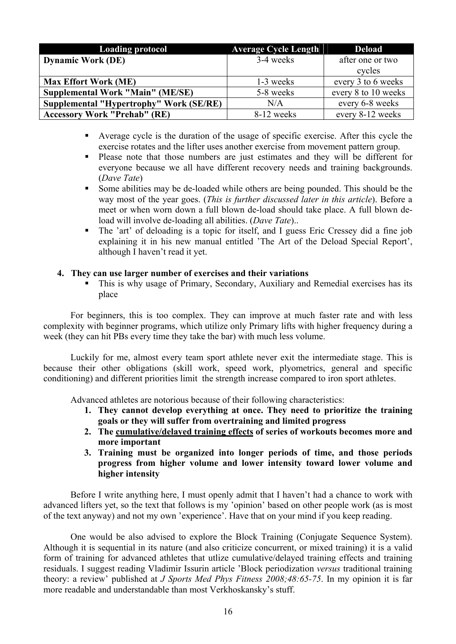| <b>Loading protocol</b>                        | <b>Average Cycle Length</b> | <b>Deload</b>       |
|------------------------------------------------|-----------------------------|---------------------|
| <b>Dynamic Work (DE)</b>                       | 3-4 weeks                   | after one or two    |
|                                                |                             | cycles              |
| <b>Max Effort Work (ME)</b>                    | 1-3 weeks                   | every 3 to 6 weeks  |
| <b>Supplemental Work "Main" (ME/SE)</b>        | 5-8 weeks                   | every 8 to 10 weeks |
| <b>Supplemental "Hypertrophy" Work (SE/RE)</b> | N/A                         | every 6-8 weeks     |
| <b>Accessory Work "Prehab" (RE)</b>            | 8-12 weeks                  | every 8-12 weeks    |

- Average cycle is the duration of the usage of specific exercise. After this cycle the exercise rotates and the lifter uses another exercise from movement pattern group.
- Please note that those numbers are just estimates and they will be different for everyone because we all have different recovery needs and training backgrounds. (*Dave Tate*)
- Some abilities may be de-loaded while others are being pounded. This should be the way most of the year goes. (*This is further discussed later in this article*). Before a meet or when worn down a full blown de-load should take place. A full blown deload will involve de-loading all abilities. (*Dave Tate*)..
- The 'art' of deloading is a topic for itself, and I guess Eric Cressey did a fine job explaining it in his new manual entitled 'The Art of the Deload Special Report', although I haven't read it yet.

### **4. They can use larger number of exercises and their variations**

 This is why usage of Primary, Secondary, Auxiliary and Remedial exercises has its place

For beginners, this is too complex. They can improve at much faster rate and with less complexity with beginner programs, which utilize only Primary lifts with higher frequency during a week (they can hit PBs every time they take the bar) with much less volume.

Luckily for me, almost every team sport athlete never exit the intermediate stage. This is because their other obligations (skill work, speed work, plyometrics, general and specific conditioning) and different priorities limit the strength increase compared to iron sport athletes.

Advanced athletes are notorious because of their following characteristics:

- **1. They cannot develop everything at once. They need to prioritize the training goals or they will suffer from overtraining and limited progress**
- **2. The cumulative/delayed training effects of series of workouts becomes more and more important**
- **3. Training must be organized into longer periods of time, and those periods progress from higher volume and lower intensity toward lower volume and higher intensity**

Before I write anything here, I must openly admit that I haven't had a chance to work with advanced lifters yet, so the text that follows is my 'opinion' based on other people work (as is most of the text anyway) and not my own 'experience'. Have that on your mind if you keep reading.

One would be also advised to explore the Block Training (Conjugate Sequence System). Although it is sequential in its nature (and also criticize concurrent, or mixed training) it is a valid form of training for advanced athletes that utlize cumulative/delayed training effects and training residuals. I suggest reading Vladimir Issurin article 'Block periodization *versus* traditional training theory: a review' published at *J Sports Med Phys Fitness 2008;48:65-75*. In my opinion it is far more readable and understandable than most Verkhoskansky's stuff.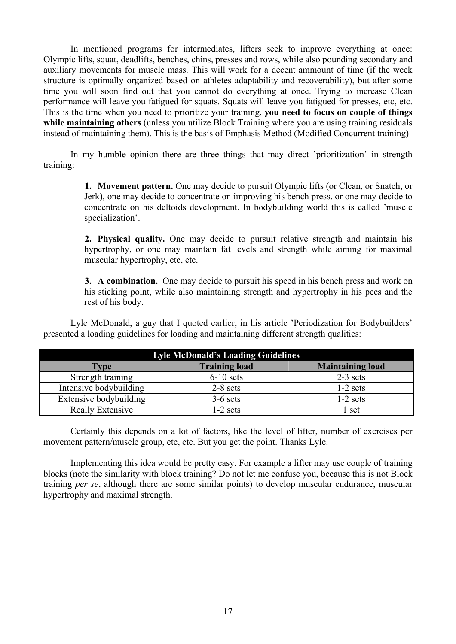In mentioned programs for intermediates, lifters seek to improve everything at once: Olympic lifts, squat, deadlifts, benches, chins, presses and rows, while also pounding secondary and auxiliary movements for muscle mass. This will work for a decent ammount of time (if the week structure is optimally organized based on athletes adaptability and recoverability), but after some time you will soon find out that you cannot do everything at once. Trying to increase Clean performance will leave you fatigued for squats. Squats will leave you fatigued for presses, etc, etc. This is the time when you need to prioritize your training, **you need to focus on couple of things while maintaining others** (unless you utilize Block Training where you are using training residuals instead of maintaining them). This is the basis of Emphasis Method (Modified Concurrent training)

In my humble opinion there are three things that may direct 'prioritization' in strength training:

> **1. Movement pattern.** One may decide to pursuit Olympic lifts (or Clean, or Snatch, or Jerk), one may decide to concentrate on improving his bench press, or one may decide to concentrate on his deltoids development. In bodybuilding world this is called 'muscle specialization'.

> **2. Physical quality.** One may decide to pursuit relative strength and maintain his hypertrophy, or one may maintain fat levels and strength while aiming for maximal muscular hypertrophy, etc, etc.

> **3. A combination.** One may decide to pursuit his speed in his bench press and work on his sticking point, while also maintaining strength and hypertrophy in his pecs and the rest of his body.

Lyle McDonald, a guy that I quoted earlier, in his article 'Periodization for Bodybuilders' presented a loading guidelines for loading and maintaining different strength qualities:

| <b>Lyle McDonald's Loading Guidelines</b> |                      |                         |  |  |  |
|-------------------------------------------|----------------------|-------------------------|--|--|--|
| <b>Type</b>                               | <b>Training load</b> | <b>Maintaining load</b> |  |  |  |
| Strength training                         | $6-10$ sets          | $2-3$ sets              |  |  |  |
| Intensive bodybuilding                    | $2-8$ sets           | $1-2$ sets              |  |  |  |
| Extensive bodybuilding                    | $3-6$ sets           | $1-2$ sets              |  |  |  |
| Really Extensive                          | 1-2 sets             | l set                   |  |  |  |

Certainly this depends on a lot of factors, like the level of lifter, number of exercises per movement pattern/muscle group, etc, etc. But you get the point. Thanks Lyle.

Implementing this idea would be pretty easy. For example a lifter may use couple of training blocks (note the similarity with block training? Do not let me confuse you, because this is not Block training *per se*, although there are some similar points) to develop muscular endurance, muscular hypertrophy and maximal strength.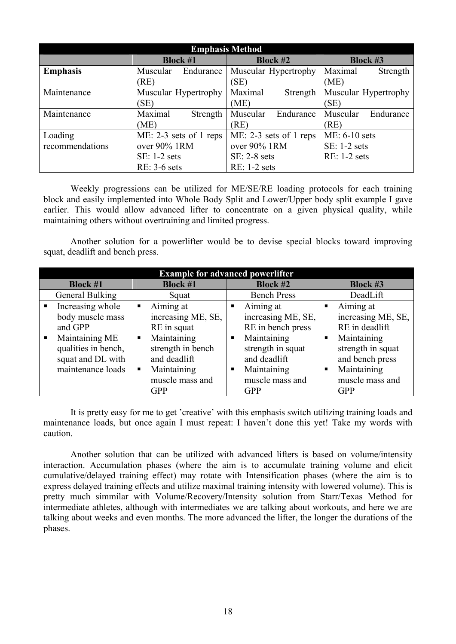| <b>Emphasis Method</b> |                          |                          |                       |  |  |  |  |
|------------------------|--------------------------|--------------------------|-----------------------|--|--|--|--|
|                        | <b>Block #1</b>          | <b>Block #2</b>          | <b>Block #3</b>       |  |  |  |  |
| <b>Emphasis</b>        | Muscular<br>Endurance    | Muscular Hypertrophy     | Maximal<br>Strength   |  |  |  |  |
|                        | (RE)                     | 'SE)                     | (ME)                  |  |  |  |  |
| Maintenance            | Muscular Hypertrophy     | Maximal<br>Strength      | Muscular Hypertrophy  |  |  |  |  |
|                        | (SE)                     | (ME)                     | (SE)                  |  |  |  |  |
| Maintenance            | Maximal<br>Strength      | Muscular<br>Endurance    | Muscular<br>Endurance |  |  |  |  |
|                        | (ME)                     | (RE)                     | (RE)                  |  |  |  |  |
| Loading                | $ME: 2-3$ sets of 1 reps | $ME: 2-3 sets of 1 reps$ | ME: 6-10 sets         |  |  |  |  |
| recommendations        | over 90% 1RM             | over 90% 1RM             | SE: 1-2 sets          |  |  |  |  |
|                        | $SE: 1-2 sets$           | $SE: 2-8 sets$           | RE: 1-2 sets          |  |  |  |  |
|                        | $RE: 3-6$ sets           | $RE: 1-2$ sets           |                       |  |  |  |  |

Weekly progressions can be utilized for ME/SE/RE loading protocols for each training block and easily implemented into Whole Body Split and Lower/Upper body split example I gave earlier. This would allow advanced lifter to concentrate on a given physical quality, while maintaining others without overtraining and limited progress.

Another solution for a powerlifter would be to devise special blocks toward improving squat, deadlift and bench press.

| <b>Example for advanced powerlifter</b> |                     |                 |                    |   |                    |   |                    |  |
|-----------------------------------------|---------------------|-----------------|--------------------|---|--------------------|---|--------------------|--|
| <b>Block #1</b>                         |                     | <b>Block #1</b> |                    |   | <b>Block #2</b>    |   | <b>Block #3</b>    |  |
|                                         | General Bulking     |                 | Squat              |   | <b>Bench Press</b> |   | DeadLift           |  |
| $\blacksquare$                          | Increasing whole    |                 | Aiming at          | ٠ | Aiming at          | ٠ | Aiming at          |  |
|                                         | body muscle mass    |                 | increasing ME, SE, |   | increasing ME, SE, |   | increasing ME, SE, |  |
|                                         | and GPP             |                 | RE in squat        |   | RE in bench press  |   | RE in deadlift     |  |
| ш                                       | Maintaining ME      | $\blacksquare$  | Maintaining        | п | Maintaining        | ٠ | Maintaining        |  |
|                                         | qualities in bench, |                 | strength in bench  |   | strength in squat  |   | strength in squat  |  |
|                                         | squat and DL with   |                 | and deadlift       |   | and deadlift       |   | and bench press    |  |
|                                         | maintenance loads   | $\blacksquare$  | Maintaining        | п | Maintaining        | ш | Maintaining        |  |
|                                         |                     |                 | muscle mass and    |   | muscle mass and    |   | muscle mass and    |  |
|                                         |                     |                 | <b>GPP</b>         |   | <b>GPP</b>         |   | <b>GPP</b>         |  |

It is pretty easy for me to get 'creative' with this emphasis switch utilizing training loads and maintenance loads, but once again I must repeat: I haven't done this yet! Take my words with caution.

Another solution that can be utilized with advanced lifters is based on volume/intensity interaction. Accumulation phases (where the aim is to accumulate training volume and elicit cumulative/delayed training effect) may rotate with Intensification phases (where the aim is to express delayed training effects and utilize maximal training intensity with lowered volume). This is pretty much simmilar with Volume/Recovery/Intensity solution from Starr/Texas Method for intermediate athletes, although with intermediates we are talking about workouts, and here we are talking about weeks and even months. The more advanced the lifter, the longer the durations of the phases.